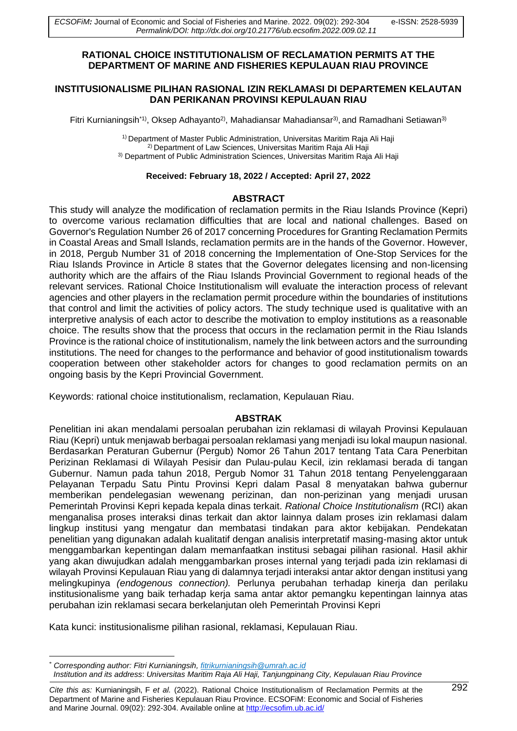## **RATIONAL CHOICE INSTITUTIONALISM OF RECLAMATION PERMITS AT THE DEPARTMENT OF MARINE AND FISHERIES KEPULAUAN RIAU PROVINCE**

### **INSTITUSIONALISME PILIHAN RASIONAL IZIN REKLAMASI DI DEPARTEMEN KELAUTAN DAN PERIKANAN PROVINSI KEPULAUAN RIAU**

Fitri Kurnianingsih<sup>\*1)</sup>, Oksep Adhayanto<sup>2)</sup>, Mahadiansar Mahadiansar<sup>3)</sup>, and Ramadhani Setiawan<sup>3)</sup>

1) Department of Master Public Administration, Universitas Maritim Raja Ali Haji 2) Department of Law Sciences, Universitas Maritim Raja Ali Haji 3) Department of Public Administration Sciences, Universitas Maritim Raja Ali Haji

### **Received: February 18, 2022 / Accepted: April 27, 2022**

# **ABSTRACT**

This study will analyze the modification of reclamation permits in the Riau Islands Province (Kepri) to overcome various reclamation difficulties that are local and national challenges. Based on Governor's Regulation Number 26 of 2017 concerning Procedures for Granting Reclamation Permits in Coastal Areas and Small Islands, reclamation permits are in the hands of the Governor. However, in 2018, Pergub Number 31 of 2018 concerning the Implementation of One-Stop Services for the Riau Islands Province in Article 8 states that the Governor delegates licensing and non-licensing authority which are the affairs of the Riau Islands Provincial Government to regional heads of the relevant services. Rational Choice Institutionalism will evaluate the interaction process of relevant agencies and other players in the reclamation permit procedure within the boundaries of institutions that control and limit the activities of policy actors. The study technique used is qualitative with an interpretive analysis of each actor to describe the motivation to employ institutions as a reasonable choice. The results show that the process that occurs in the reclamation permit in the Riau Islands Province is the rational choice of institutionalism, namely the link between actors and the surrounding institutions. The need for changes to the performance and behavior of good institutionalism towards cooperation between other stakeholder actors for changes to good reclamation permits on an ongoing basis by the Kepri Provincial Government.

Keywords: rational choice institutionalism, reclamation, Kepulauan Riau.

### **ABSTRAK**

Penelitian ini akan mendalami persoalan perubahan izin reklamasi di wilayah Provinsi Kepulauan Riau (Kepri) untuk menjawab berbagai persoalan reklamasi yang menjadi isu lokal maupun nasional. Berdasarkan Peraturan Gubernur (Pergub) Nomor 26 Tahun 2017 tentang Tata Cara Penerbitan Perizinan Reklamasi di Wilayah Pesisir dan Pulau-pulau Kecil, izin reklamasi berada di tangan Gubernur. Namun pada tahun 2018, Pergub Nomor 31 Tahun 2018 tentang Penyelenggaraan Pelayanan Terpadu Satu Pintu Provinsi Kepri dalam Pasal 8 menyatakan bahwa gubernur memberikan pendelegasian wewenang perizinan, dan non-perizinan yang menjadi urusan Pemerintah Provinsi Kepri kepada kepala dinas terkait. *Rational Choice Institutionalism* (RCI) akan menganalisa proses interaksi dinas terkait dan aktor lainnya dalam proses izin reklamasi dalam lingkup institusi yang mengatur dan membatasi tindakan para aktor kebijakan. Pendekatan penelitian yang digunakan adalah kualitatif dengan analisis interpretatif masing-masing aktor untuk menggambarkan kepentingan dalam memanfaatkan institusi sebagai pilihan rasional. Hasil akhir yang akan diwujudkan adalah menggambarkan proses internal yang terjadi pada izin reklamasi di wilayah Provinsi Kepulauan Riau yang di dalamnya terjadi interaksi antar aktor dengan institusi yang melingkupinya *(endogenous connection).* Perlunya perubahan terhadap kinerja dan perilaku institusionalisme yang baik terhadap kerja sama antar aktor pemangku kepentingan lainnya atas perubahan izin reklamasi secara berkelanjutan oleh Pemerintah Provinsi Kepri

Kata kunci: institusionalisme pilihan rasional, reklamasi, Kepulauan Riau.

<sup>\*</sup> *Corresponding author: Fitri Kurnianingsih, [fitrikurnianingsih@umrah.ac.id](mailto:fitrikurnianingsih@umrah.ac.id) Institution and its address*: *Universitas Maritim Raja Ali Haji, Tanjungpinang City, Kepulauan Riau Province*

*Cite this as:* Kurnianingsih, F *et al.* (2022). Rational Choice Institutionalism of Reclamation Permits at the 292 Department of Marine and Fisheries Kepulauan Riau Province. ECSOFiM: Economic and Social of Fisheries and Marine Journal. 09(02): 292-304. Available online at <http://ecsofim.ub.ac.id/>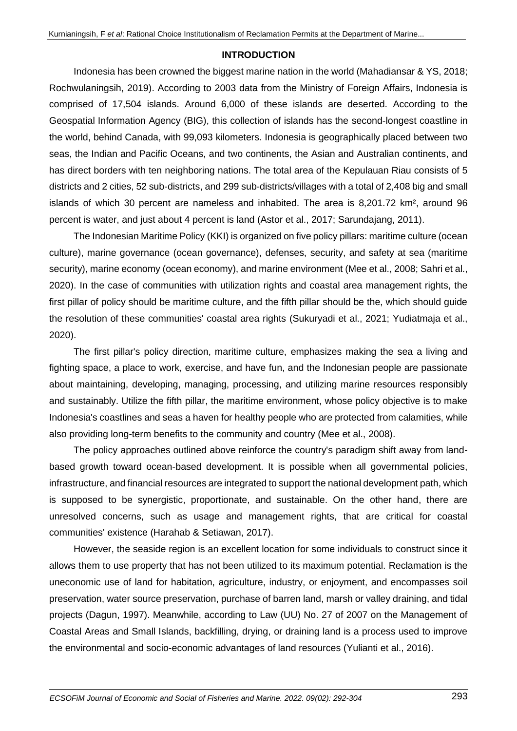# **INTRODUCTION**

Indonesia has been crowned the biggest marine nation in the world (Mahadiansar & YS, 2018; Rochwulaningsih, 2019). According to 2003 data from the Ministry of Foreign Affairs, Indonesia is comprised of 17,504 islands. Around 6,000 of these islands are deserted. According to the Geospatial Information Agency (BIG), this collection of islands has the second-longest coastline in the world, behind Canada, with 99,093 kilometers. Indonesia is geographically placed between two seas, the Indian and Pacific Oceans, and two continents, the Asian and Australian continents, and has direct borders with ten neighboring nations. The total area of the Kepulauan Riau consists of 5 districts and 2 cities, 52 sub-districts, and 299 sub-districts/villages with a total of 2,408 big and small islands of which 30 percent are nameless and inhabited. The area is 8,201.72 km², around 96 percent is water, and just about 4 percent is land (Astor et al., 2017; Sarundajang, 2011).

The Indonesian Maritime Policy (KKI) is organized on five policy pillars: maritime culture (ocean culture), marine governance (ocean governance), defenses, security, and safety at sea (maritime security), marine economy (ocean economy), and marine environment (Mee et al., 2008; Sahri et al., 2020). In the case of communities with utilization rights and coastal area management rights, the first pillar of policy should be maritime culture, and the fifth pillar should be the, which should guide the resolution of these communities' coastal area rights (Sukuryadi et al., 2021; Yudiatmaja et al., 2020).

The first pillar's policy direction, maritime culture, emphasizes making the sea a living and fighting space, a place to work, exercise, and have fun, and the Indonesian people are passionate about maintaining, developing, managing, processing, and utilizing marine resources responsibly and sustainably. Utilize the fifth pillar, the maritime environment, whose policy objective is to make Indonesia's coastlines and seas a haven for healthy people who are protected from calamities, while also providing long-term benefits to the community and country (Mee et al., 2008).

The policy approaches outlined above reinforce the country's paradigm shift away from landbased growth toward ocean-based development. It is possible when all governmental policies, infrastructure, and financial resources are integrated to support the national development path, which is supposed to be synergistic, proportionate, and sustainable. On the other hand, there are unresolved concerns, such as usage and management rights, that are critical for coastal communities' existence (Harahab & Setiawan, 2017).

However, the seaside region is an excellent location for some individuals to construct since it allows them to use property that has not been utilized to its maximum potential. Reclamation is the uneconomic use of land for habitation, agriculture, industry, or enjoyment, and encompasses soil preservation, water source preservation, purchase of barren land, marsh or valley draining, and tidal projects (Dagun, 1997). Meanwhile, according to Law (UU) No. 27 of 2007 on the Management of Coastal Areas and Small Islands, backfilling, drying, or draining land is a process used to improve the environmental and socio-economic advantages of land resources (Yulianti et al., 2016).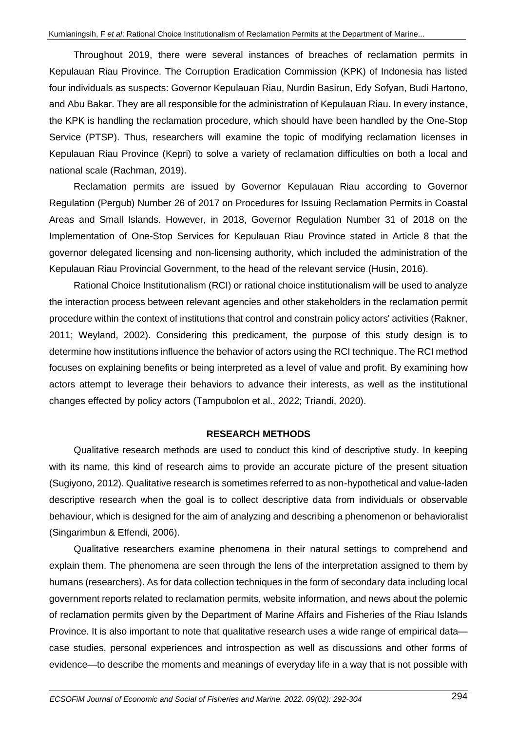Throughout 2019, there were several instances of breaches of reclamation permits in Kepulauan Riau Province. The Corruption Eradication Commission (KPK) of Indonesia has listed four individuals as suspects: Governor Kepulauan Riau, Nurdin Basirun, Edy Sofyan, Budi Hartono, and Abu Bakar. They are all responsible for the administration of Kepulauan Riau. In every instance, the KPK is handling the reclamation procedure, which should have been handled by the One-Stop Service (PTSP). Thus, researchers will examine the topic of modifying reclamation licenses in Kepulauan Riau Province (Kepri) to solve a variety of reclamation difficulties on both a local and national scale (Rachman, 2019).

Reclamation permits are issued by Governor Kepulauan Riau according to Governor Regulation (Pergub) Number 26 of 2017 on Procedures for Issuing Reclamation Permits in Coastal Areas and Small Islands. However, in 2018, Governor Regulation Number 31 of 2018 on the Implementation of One-Stop Services for Kepulauan Riau Province stated in Article 8 that the governor delegated licensing and non-licensing authority, which included the administration of the Kepulauan Riau Provincial Government, to the head of the relevant service (Husin, 2016).

Rational Choice Institutionalism (RCI) or rational choice institutionalism will be used to analyze the interaction process between relevant agencies and other stakeholders in the reclamation permit procedure within the context of institutions that control and constrain policy actors' activities (Rakner, 2011; Weyland, 2002). Considering this predicament, the purpose of this study design is to determine how institutions influence the behavior of actors using the RCI technique. The RCI method focuses on explaining benefits or being interpreted as a level of value and profit. By examining how actors attempt to leverage their behaviors to advance their interests, as well as the institutional changes effected by policy actors (Tampubolon et al., 2022; Triandi, 2020).

### **RESEARCH METHODS**

Qualitative research methods are used to conduct this kind of descriptive study. In keeping with its name, this kind of research aims to provide an accurate picture of the present situation (Sugiyono, 2012). Qualitative research is sometimes referred to as non-hypothetical and value-laden descriptive research when the goal is to collect descriptive data from individuals or observable behaviour, which is designed for the aim of analyzing and describing a phenomenon or behavioralist (Singarimbun & Effendi, 2006).

Qualitative researchers examine phenomena in their natural settings to comprehend and explain them. The phenomena are seen through the lens of the interpretation assigned to them by humans (researchers). As for data collection techniques in the form of secondary data including local government reports related to reclamation permits, website information, and news about the polemic of reclamation permits given by the Department of Marine Affairs and Fisheries of the Riau Islands Province. It is also important to note that qualitative research uses a wide range of empirical data case studies, personal experiences and introspection as well as discussions and other forms of evidence—to describe the moments and meanings of everyday life in a way that is not possible with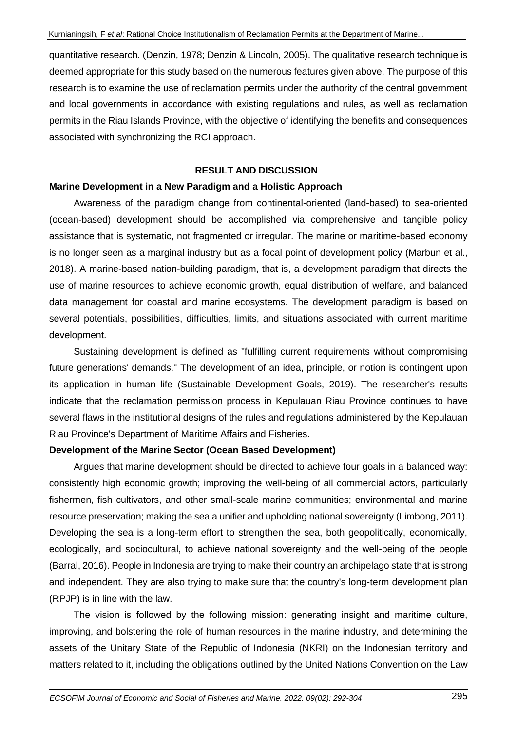quantitative research. (Denzin, 1978; Denzin & Lincoln, 2005). The qualitative research technique is deemed appropriate for this study based on the numerous features given above. The purpose of this research is to examine the use of reclamation permits under the authority of the central government and local governments in accordance with existing regulations and rules, as well as reclamation permits in the Riau Islands Province, with the objective of identifying the benefits and consequences associated with synchronizing the RCI approach.

## **RESULT AND DISCUSSION**

#### **Marine Development in a New Paradigm and a Holistic Approach**

Awareness of the paradigm change from continental-oriented (land-based) to sea-oriented (ocean-based) development should be accomplished via comprehensive and tangible policy assistance that is systematic, not fragmented or irregular. The marine or maritime-based economy is no longer seen as a marginal industry but as a focal point of development policy (Marbun et al., 2018). A marine-based nation-building paradigm, that is, a development paradigm that directs the use of marine resources to achieve economic growth, equal distribution of welfare, and balanced data management for coastal and marine ecosystems. The development paradigm is based on several potentials, possibilities, difficulties, limits, and situations associated with current maritime development.

Sustaining development is defined as "fulfilling current requirements without compromising future generations' demands." The development of an idea, principle, or notion is contingent upon its application in human life (Sustainable Development Goals, 2019). The researcher's results indicate that the reclamation permission process in Kepulauan Riau Province continues to have several flaws in the institutional designs of the rules and regulations administered by the Kepulauan Riau Province's Department of Maritime Affairs and Fisheries.

### **Development of the Marine Sector (Ocean Based Development)**

Argues that marine development should be directed to achieve four goals in a balanced way: consistently high economic growth; improving the well-being of all commercial actors, particularly fishermen, fish cultivators, and other small-scale marine communities; environmental and marine resource preservation; making the sea a unifier and upholding national sovereignty (Limbong, 2011). Developing the sea is a long-term effort to strengthen the sea, both geopolitically, economically, ecologically, and sociocultural, to achieve national sovereignty and the well-being of the people (Barral, 2016). People in Indonesia are trying to make their country an archipelago state that is strong and independent. They are also trying to make sure that the country's long-term development plan (RPJP) is in line with the law.

The vision is followed by the following mission: generating insight and maritime culture, improving, and bolstering the role of human resources in the marine industry, and determining the assets of the Unitary State of the Republic of Indonesia (NKRI) on the Indonesian territory and matters related to it, including the obligations outlined by the United Nations Convention on the Law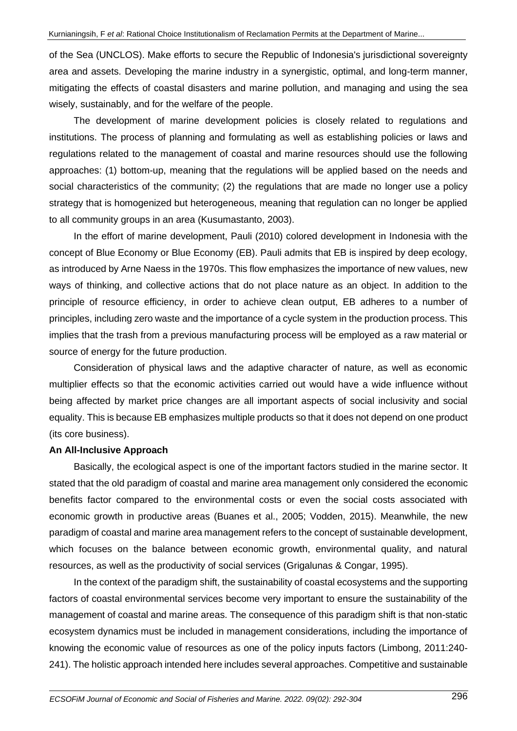of the Sea (UNCLOS). Make efforts to secure the Republic of Indonesia's jurisdictional sovereignty area and assets. Developing the marine industry in a synergistic, optimal, and long-term manner, mitigating the effects of coastal disasters and marine pollution, and managing and using the sea wisely, sustainably, and for the welfare of the people.

The development of marine development policies is closely related to regulations and institutions. The process of planning and formulating as well as establishing policies or laws and regulations related to the management of coastal and marine resources should use the following approaches: (1) bottom-up, meaning that the regulations will be applied based on the needs and social characteristics of the community; (2) the regulations that are made no longer use a policy strategy that is homogenized but heterogeneous, meaning that regulation can no longer be applied to all community groups in an area (Kusumastanto, 2003).

In the effort of marine development, Pauli (2010) colored development in Indonesia with the concept of Blue Economy or Blue Economy (EB). Pauli admits that EB is inspired by deep ecology, as introduced by Arne Naess in the 1970s. This flow emphasizes the importance of new values, new ways of thinking, and collective actions that do not place nature as an object. In addition to the principle of resource efficiency, in order to achieve clean output, EB adheres to a number of principles, including zero waste and the importance of a cycle system in the production process. This implies that the trash from a previous manufacturing process will be employed as a raw material or source of energy for the future production.

Consideration of physical laws and the adaptive character of nature, as well as economic multiplier effects so that the economic activities carried out would have a wide influence without being affected by market price changes are all important aspects of social inclusivity and social equality. This is because EB emphasizes multiple products so that it does not depend on one product (its core business).

### **An All-Inclusive Approach**

Basically, the ecological aspect is one of the important factors studied in the marine sector. It stated that the old paradigm of coastal and marine area management only considered the economic benefits factor compared to the environmental costs or even the social costs associated with economic growth in productive areas (Buanes et al., 2005; Vodden, 2015). Meanwhile, the new paradigm of coastal and marine area management refers to the concept of sustainable development, which focuses on the balance between economic growth, environmental quality, and natural resources, as well as the productivity of social services (Grigalunas & Congar, 1995).

In the context of the paradigm shift, the sustainability of coastal ecosystems and the supporting factors of coastal environmental services become very important to ensure the sustainability of the management of coastal and marine areas. The consequence of this paradigm shift is that non-static ecosystem dynamics must be included in management considerations, including the importance of knowing the economic value of resources as one of the policy inputs factors (Limbong, 2011:240- 241). The holistic approach intended here includes several approaches. Competitive and sustainable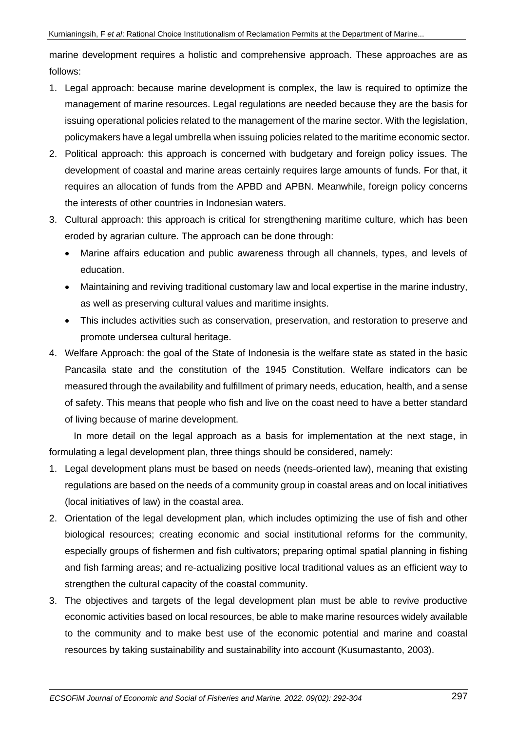marine development requires a holistic and comprehensive approach. These approaches are as follows:

- 1. Legal approach: because marine development is complex, the law is required to optimize the management of marine resources. Legal regulations are needed because they are the basis for issuing operational policies related to the management of the marine sector. With the legislation, policymakers have a legal umbrella when issuing policies related to the maritime economic sector.
- 2. Political approach: this approach is concerned with budgetary and foreign policy issues. The development of coastal and marine areas certainly requires large amounts of funds. For that, it requires an allocation of funds from the APBD and APBN. Meanwhile, foreign policy concerns the interests of other countries in Indonesian waters.
- 3. Cultural approach: this approach is critical for strengthening maritime culture, which has been eroded by agrarian culture. The approach can be done through:
	- Marine affairs education and public awareness through all channels, types, and levels of education.
	- Maintaining and reviving traditional customary law and local expertise in the marine industry, as well as preserving cultural values and maritime insights.
	- This includes activities such as conservation, preservation, and restoration to preserve and promote undersea cultural heritage.
- 4. Welfare Approach: the goal of the State of Indonesia is the welfare state as stated in the basic Pancasila state and the constitution of the 1945 Constitution. Welfare indicators can be measured through the availability and fulfillment of primary needs, education, health, and a sense of safety. This means that people who fish and live on the coast need to have a better standard of living because of marine development.

In more detail on the legal approach as a basis for implementation at the next stage, in formulating a legal development plan, three things should be considered, namely:

- 1. Legal development plans must be based on needs (needs-oriented law), meaning that existing regulations are based on the needs of a community group in coastal areas and on local initiatives (local initiatives of law) in the coastal area.
- 2. Orientation of the legal development plan, which includes optimizing the use of fish and other biological resources; creating economic and social institutional reforms for the community, especially groups of fishermen and fish cultivators; preparing optimal spatial planning in fishing and fish farming areas; and re-actualizing positive local traditional values as an efficient way to strengthen the cultural capacity of the coastal community.
- 3. The objectives and targets of the legal development plan must be able to revive productive economic activities based on local resources, be able to make marine resources widely available to the community and to make best use of the economic potential and marine and coastal resources by taking sustainability and sustainability into account (Kusumastanto, 2003).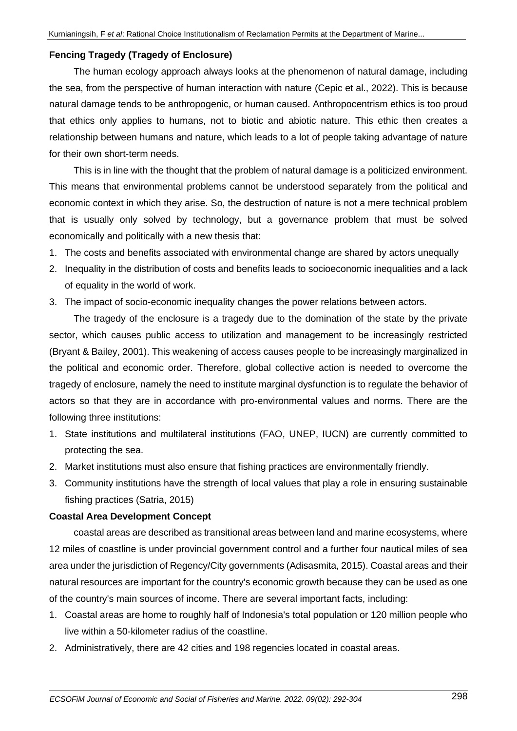# **Fencing Tragedy (Tragedy of Enclosure)**

The human ecology approach always looks at the phenomenon of natural damage, including the sea, from the perspective of human interaction with nature (Cepic et al., 2022). This is because natural damage tends to be anthropogenic, or human caused. Anthropocentrism ethics is too proud that ethics only applies to humans, not to biotic and abiotic nature. This ethic then creates a relationship between humans and nature, which leads to a lot of people taking advantage of nature for their own short-term needs.

This is in line with the thought that the problem of natural damage is a politicized environment. This means that environmental problems cannot be understood separately from the political and economic context in which they arise. So, the destruction of nature is not a mere technical problem that is usually only solved by technology, but a governance problem that must be solved economically and politically with a new thesis that:

- 1. The costs and benefits associated with environmental change are shared by actors unequally
- 2. Inequality in the distribution of costs and benefits leads to socioeconomic inequalities and a lack of equality in the world of work.
- 3. The impact of socio-economic inequality changes the power relations between actors.

The tragedy of the enclosure is a tragedy due to the domination of the state by the private sector, which causes public access to utilization and management to be increasingly restricted (Bryant & Bailey, 2001). This weakening of access causes people to be increasingly marginalized in the political and economic order. Therefore, global collective action is needed to overcome the tragedy of enclosure, namely the need to institute marginal dysfunction is to regulate the behavior of actors so that they are in accordance with pro-environmental values and norms. There are the following three institutions:

- 1. State institutions and multilateral institutions (FAO, UNEP, IUCN) are currently committed to protecting the sea.
- 2. Market institutions must also ensure that fishing practices are environmentally friendly.
- 3. Community institutions have the strength of local values that play a role in ensuring sustainable fishing practices (Satria, 2015)

# **Coastal Area Development Concept**

coastal areas are described as transitional areas between land and marine ecosystems, where 12 miles of coastline is under provincial government control and a further four nautical miles of sea area under the jurisdiction of Regency/City governments (Adisasmita, 2015). Coastal areas and their natural resources are important for the country's economic growth because they can be used as one of the country's main sources of income. There are several important facts, including:

- 1. Coastal areas are home to roughly half of Indonesia's total population or 120 million people who live within a 50-kilometer radius of the coastline.
- 2. Administratively, there are 42 cities and 198 regencies located in coastal areas.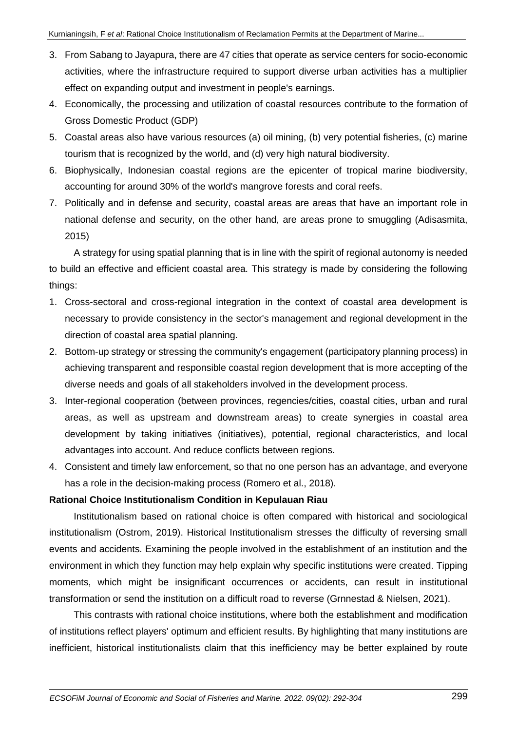- 3. From Sabang to Jayapura, there are 47 cities that operate as service centers for socio-economic activities, where the infrastructure required to support diverse urban activities has a multiplier effect on expanding output and investment in people's earnings.
- 4. Economically, the processing and utilization of coastal resources contribute to the formation of Gross Domestic Product (GDP)
- 5. Coastal areas also have various resources (a) oil mining, (b) very potential fisheries, (c) marine tourism that is recognized by the world, and (d) very high natural biodiversity.
- 6. Biophysically, Indonesian coastal regions are the epicenter of tropical marine biodiversity, accounting for around 30% of the world's mangrove forests and coral reefs.
- 7. Politically and in defense and security, coastal areas are areas that have an important role in national defense and security, on the other hand, are areas prone to smuggling (Adisasmita, 2015)

A strategy for using spatial planning that is in line with the spirit of regional autonomy is needed to build an effective and efficient coastal area. This strategy is made by considering the following things:

- 1. Cross-sectoral and cross-regional integration in the context of coastal area development is necessary to provide consistency in the sector's management and regional development in the direction of coastal area spatial planning.
- 2. Bottom-up strategy or stressing the community's engagement (participatory planning process) in achieving transparent and responsible coastal region development that is more accepting of the diverse needs and goals of all stakeholders involved in the development process.
- 3. Inter-regional cooperation (between provinces, regencies/cities, coastal cities, urban and rural areas, as well as upstream and downstream areas) to create synergies in coastal area development by taking initiatives (initiatives), potential, regional characteristics, and local advantages into account. And reduce conflicts between regions.
- 4. Consistent and timely law enforcement, so that no one person has an advantage, and everyone has a role in the decision-making process (Romero et al., 2018).

# **Rational Choice Institutionalism Condition in Kepulauan Riau**

Institutionalism based on rational choice is often compared with historical and sociological institutionalism (Ostrom, 2019). Historical Institutionalism stresses the difficulty of reversing small events and accidents. Examining the people involved in the establishment of an institution and the environment in which they function may help explain why specific institutions were created. Tipping moments, which might be insignificant occurrences or accidents, can result in institutional transformation or send the institution on a difficult road to reverse (Grnnestad & Nielsen, 2021).

This contrasts with rational choice institutions, where both the establishment and modification of institutions reflect players' optimum and efficient results. By highlighting that many institutions are inefficient, historical institutionalists claim that this inefficiency may be better explained by route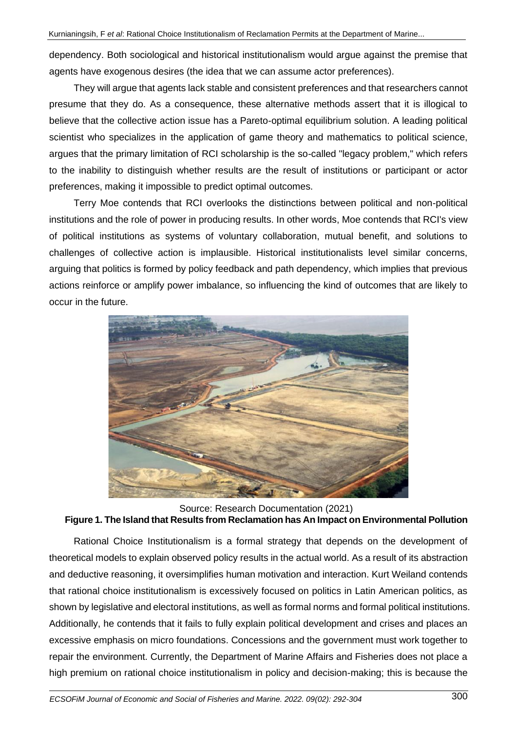dependency. Both sociological and historical institutionalism would argue against the premise that agents have exogenous desires (the idea that we can assume actor preferences).

They will argue that agents lack stable and consistent preferences and that researchers cannot presume that they do. As a consequence, these alternative methods assert that it is illogical to believe that the collective action issue has a Pareto-optimal equilibrium solution. A leading political scientist who specializes in the application of game theory and mathematics to political science, argues that the primary limitation of RCI scholarship is the so-called "legacy problem," which refers to the inability to distinguish whether results are the result of institutions or participant or actor preferences, making it impossible to predict optimal outcomes.

Terry Moe contends that RCI overlooks the distinctions between political and non-political institutions and the role of power in producing results. In other words, Moe contends that RCI's view of political institutions as systems of voluntary collaboration, mutual benefit, and solutions to challenges of collective action is implausible. Historical institutionalists level similar concerns, arguing that politics is formed by policy feedback and path dependency, which implies that previous actions reinforce or amplify power imbalance, so influencing the kind of outcomes that are likely to occur in the future.



Source: Research Documentation (2021) **Figure 1. The Island that Results from Reclamation has An Impact on Environmental Pollution** 

Rational Choice Institutionalism is a formal strategy that depends on the development of theoretical models to explain observed policy results in the actual world. As a result of its abstraction and deductive reasoning, it oversimplifies human motivation and interaction. Kurt Weiland contends that rational choice institutionalism is excessively focused on politics in Latin American politics, as shown by legislative and electoral institutions, as well as formal norms and formal political institutions. Additionally, he contends that it fails to fully explain political development and crises and places an excessive emphasis on micro foundations. Concessions and the government must work together to repair the environment. Currently, the Department of Marine Affairs and Fisheries does not place a high premium on rational choice institutionalism in policy and decision-making; this is because the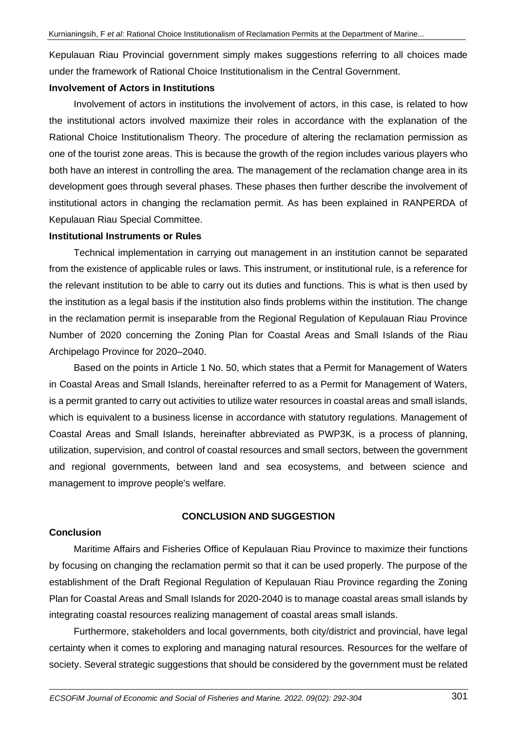Kepulauan Riau Provincial government simply makes suggestions referring to all choices made under the framework of Rational Choice Institutionalism in the Central Government.

## **Involvement of Actors in Institutions**

Involvement of actors in institutions the involvement of actors, in this case, is related to how the institutional actors involved maximize their roles in accordance with the explanation of the Rational Choice Institutionalism Theory. The procedure of altering the reclamation permission as one of the tourist zone areas. This is because the growth of the region includes various players who both have an interest in controlling the area. The management of the reclamation change area in its development goes through several phases. These phases then further describe the involvement of institutional actors in changing the reclamation permit. As has been explained in RANPERDA of Kepulauan Riau Special Committee.

### **Institutional Instruments or Rules**

Technical implementation in carrying out management in an institution cannot be separated from the existence of applicable rules or laws. This instrument, or institutional rule, is a reference for the relevant institution to be able to carry out its duties and functions. This is what is then used by the institution as a legal basis if the institution also finds problems within the institution. The change in the reclamation permit is inseparable from the Regional Regulation of Kepulauan Riau Province Number of 2020 concerning the Zoning Plan for Coastal Areas and Small Islands of the Riau Archipelago Province for 2020–2040.

Based on the points in Article 1 No. 50, which states that a Permit for Management of Waters in Coastal Areas and Small Islands, hereinafter referred to as a Permit for Management of Waters, is a permit granted to carry out activities to utilize water resources in coastal areas and small islands, which is equivalent to a business license in accordance with statutory regulations. Management of Coastal Areas and Small Islands, hereinafter abbreviated as PWP3K, is a process of planning, utilization, supervision, and control of coastal resources and small sectors, between the government and regional governments, between land and sea ecosystems, and between science and management to improve people's welfare.

# **CONCLUSION AND SUGGESTION**

## **Conclusion**

Maritime Affairs and Fisheries Office of Kepulauan Riau Province to maximize their functions by focusing on changing the reclamation permit so that it can be used properly. The purpose of the establishment of the Draft Regional Regulation of Kepulauan Riau Province regarding the Zoning Plan for Coastal Areas and Small Islands for 2020-2040 is to manage coastal areas small islands by integrating coastal resources realizing management of coastal areas small islands.

Furthermore, stakeholders and local governments, both city/district and provincial, have legal certainty when it comes to exploring and managing natural resources. Resources for the welfare of society. Several strategic suggestions that should be considered by the government must be related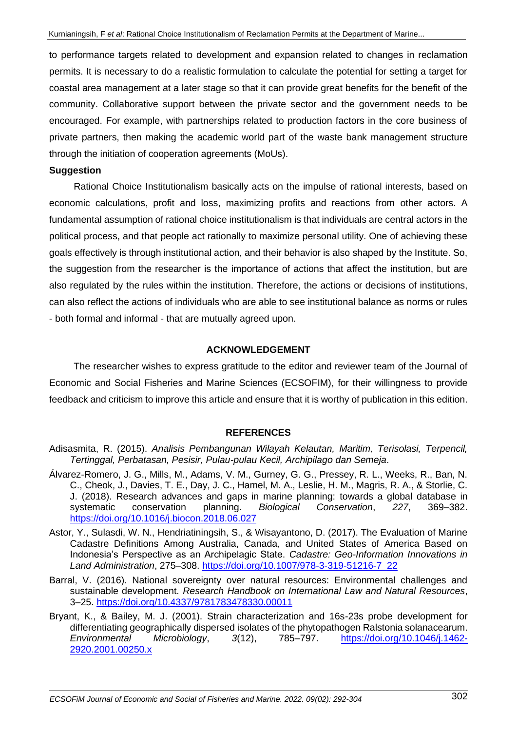to performance targets related to development and expansion related to changes in reclamation permits. It is necessary to do a realistic formulation to calculate the potential for setting a target for coastal area management at a later stage so that it can provide great benefits for the benefit of the community. Collaborative support between the private sector and the government needs to be encouraged. For example, with partnerships related to production factors in the core business of private partners, then making the academic world part of the waste bank management structure through the initiation of cooperation agreements (MoUs).

### **Suggestion**

Rational Choice Institutionalism basically acts on the impulse of rational interests, based on economic calculations, profit and loss, maximizing profits and reactions from other actors. A fundamental assumption of rational choice institutionalism is that individuals are central actors in the political process, and that people act rationally to maximize personal utility. One of achieving these goals effectively is through institutional action, and their behavior is also shaped by the Institute. So, the suggestion from the researcher is the importance of actions that affect the institution, but are also regulated by the rules within the institution. Therefore, the actions or decisions of institutions, can also reflect the actions of individuals who are able to see institutional balance as norms or rules - both formal and informal - that are mutually agreed upon.

## **ACKNOWLEDGEMENT**

The researcher wishes to express gratitude to the editor and reviewer team of the Journal of Economic and Social Fisheries and Marine Sciences (ECSOFIM), for their willingness to provide feedback and criticism to improve this article and ensure that it is worthy of publication in this edition.

# **REFERENCES**

- Adisasmita, R. (2015). *Analisis Pembangunan Wilayah Kelautan, Maritim, Terisolasi, Terpencil, Tertinggal, Perbatasan, Pesisir, Pulau-pulau Kecil, Archipilago dan Semeja*.
- Álvarez-Romero, J. G., Mills, M., Adams, V. M., Gurney, G. G., Pressey, R. L., Weeks, R., Ban, N. C., Cheok, J., Davies, T. E., Day, J. C., Hamel, M. A., Leslie, H. M., Magris, R. A., & Storlie, C. J. (2018). Research advances and gaps in marine planning: towards a global database in systematic conservation planning. *Biological Conservation*, *227*, 369–382. <https://doi.org/10.1016/j.biocon.2018.06.027>
- Astor, Y., Sulasdi, W. N., Hendriatiningsih, S., & Wisayantono, D. (2017). The Evaluation of Marine Cadastre Definitions Among Australia, Canada, and United States of America Based on Indonesia's Perspective as an Archipelagic State. *Cadastre: Geo-Information Innovations in Land Administration*, 275–308. [https://doi.org/10.1007/978-3-319-51216-7\\_22](https://doi.org/10.1007/978-3-319-51216-7_22)
- Barral, V. (2016). National sovereignty over natural resources: Environmental challenges and sustainable development. *Research Handbook on International Law and Natural Resources*, 3–25.<https://doi.org/10.4337/9781783478330.00011>
- Bryant, K., & Bailey, M. J. (2001). Strain characterization and 16s-23s probe development for differentiating geographically dispersed isolates of the phytopathogen Ralstonia solanacearum. *Environmental Microbiology*, *3*(12), 785–797. [https://doi.org/10.1046/j.1462-](https://doi.org/10.1046/j.1462-2920.2001.00250.x) [2920.2001.00250.x](https://doi.org/10.1046/j.1462-2920.2001.00250.x)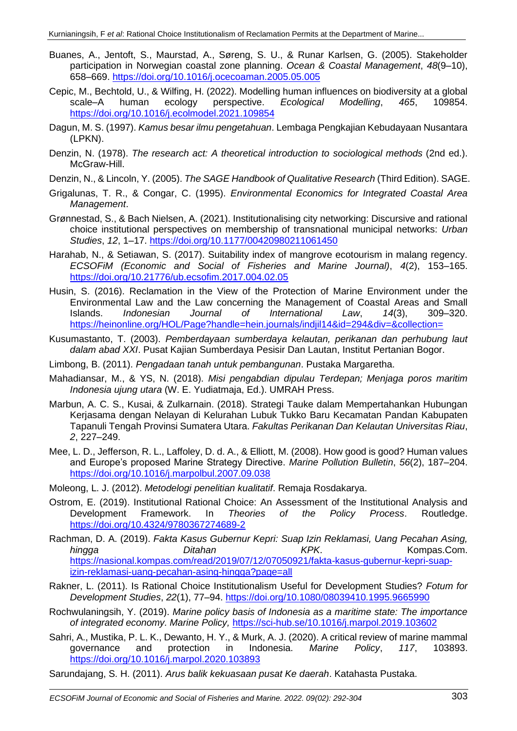- Buanes, A., Jentoft, S., Maurstad, A., Søreng, S. U., & Runar Karlsen, G. (2005). Stakeholder participation in Norwegian coastal zone planning. *Ocean & Coastal Management*, *48*(9–10), 658–669.<https://doi.org/10.1016/j.ocecoaman.2005.05.005>
- Cepic, M., Bechtold, U., & Wilfing, H. (2022). Modelling human influences on biodiversity at a global scale–A human ecology perspective. *Ecological Modelling*, *465*, 109854. <https://doi.org/10.1016/j.ecolmodel.2021.109854>
- Dagun, M. S. (1997). *Kamus besar ilmu pengetahuan*. Lembaga Pengkajian Kebudayaan Nusantara (LPKN).
- Denzin, N. (1978). *The research act: A theoretical introduction to sociological methods* (2nd ed.). McGraw-Hill.
- Denzin, N., & Lincoln, Y. (2005). *The SAGE Handbook of Qualitative Research* (Third Edition). SAGE.
- Grigalunas, T. R., & Congar, C. (1995). *Environmental Economics for Integrated Coastal Area Management*.
- Grønnestad, S., & Bach Nielsen, A. (2021). Institutionalising city networking: Discursive and rational choice institutional perspectives on membership of transnational municipal networks: *Urban Studies*, *12*, 1–17.<https://doi.org/10.1177/00420980211061450>
- Harahab, N., & Setiawan, S. (2017). Suitability index of mangrove ecotourism in malang regency. *ECSOFiM (Economic and Social of Fisheries and Marine Journal)*, *4*(2), 153–165. <https://doi.org/10.21776/ub.ecsofim.2017.004.02.05>
- Husin, S. (2016). Reclamation in the View of the Protection of Marine Environment under the Environmental Law and the Law concerning the Management of Coastal Areas and Small<br>Islands. Indonesian Journal of International Law. 14(3). 309–320. Islands. *Indonesian Journal of International Law*, *14*(3), 309–320. <https://heinonline.org/HOL/Page?handle=hein.journals/indjil14&id=294&div=&collection=>
- Kusumastanto, T. (2003). *Pemberdayaan sumberdaya kelautan, perikanan dan perhubung laut dalam abad XXI*. Pusat Kajian Sumberdaya Pesisir Dan Lautan, Institut Pertanian Bogor.
- Limbong, B. (2011). *Pengadaan tanah untuk pembangunan*. Pustaka Margaretha.
- Mahadiansar, M., & YS, N. (2018). *Misi pengabdian dipulau Terdepan; Menjaga poros maritim Indonesia ujung utara* (W. E. Yudiatmaja, Ed.). UMRAH Press.
- Marbun, A. C. S., Kusai, & Zulkarnain. (2018). Strategi Tauke dalam Mempertahankan Hubungan Kerjasama dengan Nelayan di Kelurahan Lubuk Tukko Baru Kecamatan Pandan Kabupaten Tapanuli Tengah Provinsi Sumatera Utara. *Fakultas Perikanan Dan Kelautan Universitas Riau*, *2*, 227–249.
- Mee, L. D., Jefferson, R. L., Laffoley, D. d. A., & Elliott, M. (2008). How good is good? Human values and Europe's proposed Marine Strategy Directive. *Marine Pollution Bulletin*, *56*(2), 187–204. <https://doi.org/10.1016/j.marpolbul.2007.09.038>
- Moleong, L. J. (2012). *Metodelogi penelitian kualitatif*. Remaja Rosdakarya.
- Ostrom, E. (2019). Institutional Rational Choice: An Assessment of the Institutional Analysis and Development Framework. In *Theories of the Policy Process*. Routledge. <https://doi.org/10.4324/9780367274689-2>
- Rachman, D. A. (2019). *Fakta Kasus Gubernur Kepri: Suap Izin Reklamasi, Uang Pecahan Asing, hingga Ditahan KPK*. Kompas.Com. [https://nasional.kompas.com/read/2019/07/12/07050921/fakta-kasus-gubernur-kepri-suap](https://nasional.kompas.com/read/2019/07/12/07050921/fakta-kasus-gubernur-kepri-suap-izin-reklamasi-uang-pecahan-asing-hingga?page=all)[izin-reklamasi-uang-pecahan-asing-hingga?page=all](https://nasional.kompas.com/read/2019/07/12/07050921/fakta-kasus-gubernur-kepri-suap-izin-reklamasi-uang-pecahan-asing-hingga?page=all)
- Rakner, L. (2011). Is Rational Choice Institutionalism Useful for Development Studies? *Fotum for Development Studies*, *22*(1), 77–94.<https://doi.org/10.1080/08039410.1995.9665990>
- Rochwulaningsih, Y. (2019). *Marine policy basis of Indonesia as a maritime state: The importance of integrated economy. Marine Policy,* <https://sci-hub.se/10.1016/j.marpol.2019.103602>
- Sahri, A., Mustika, P. L. K., Dewanto, H. Y., & Murk, A. J. (2020). A critical review of marine mammal governance and protection in Indonesia. *Marine Policy*, *117*, 103893. <https://doi.org/10.1016/j.marpol.2020.103893>
- Sarundajang, S. H. (2011). *Arus balik kekuasaan pusat Ke daerah*. Katahasta Pustaka.

*ECSOFiM Journal of Economic and Social of Fisheries and Marine. 2022. 09(02): 292-304* 303